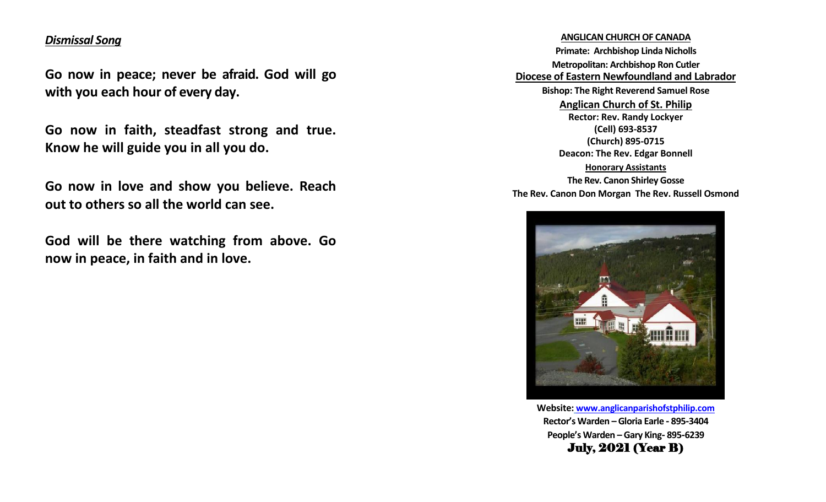# *Dismissal Song*

**Go now in peace; never be afraid. God will go with you each hour of every day.**

**Go now in faith, steadfast strong and true. Know he will guide you in all you do.**

**Go now in love and show you believe. Reach out to others so all the world can see.**

**God will be there watching from above. Go now in peace, in faith and in love.**

## **ANGLICAN CHURCH OF CANADA**

**Primate: Archbishop Linda Nicholls Metropolitan: Archbishop Ron Cutler Diocese of Eastern Newfoundland and Labrador Bishop: The Right Reverend Samuel Rose Anglican Church of St. Philip Rector: Rev. Randy Lockyer (Cell) 693-8537 (Church) 895-0715 Deacon: The Rev. Edgar Bonnell Honorary Assistants The Rev. Canon Shirley Gosse The Rev. Canon Don Morgan The Rev. Russell Osmond**



**Website: [www.anglicanparishofstphilip.com](http://www.anglicanparishofstphilip.com/) Rector's Warden – Gloria Earle - 895-3404 People's Warden – Gary King- 895-6239** July, 2021 (Year B)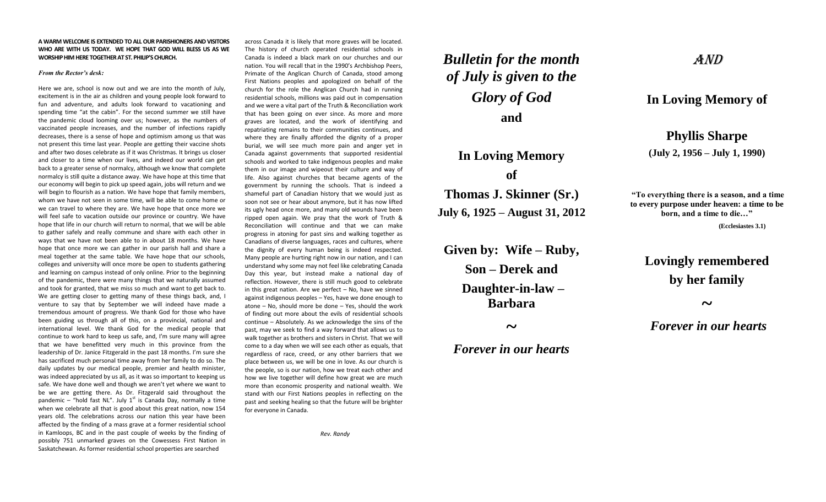#### **A WARM WELCOME IS EXTENDED TO ALL OUR PARISHIONERS AND VISITORS WHO ARE WITH US TODAY. WE HOPE THAT GOD WILL BLESS US AS WE WORSHIP HIM HERE TOGETHER AT ST. PHILIP'S CHURCH.**

#### *From the Rector's desk:*

Here we are, school is now out and we are into the month of July, excitement is in the air as children and young people look forward to fun and adventure, and adults look forward to vacationing and spending time "at the cabin". For the second summer we still have the pandemic cloud looming over us; however, as the numbers of vaccinated people increases, and the number of infections rapidly decreases, there is a sense of hope and optimism among us that was not present this time last year. People are getting their vaccine shots and after two doses celebrate as if it was Christmas. It brings us closer and closer to a time when our lives, and indeed our world can get back to a greater sense of normalcy, although we know that complete normalcy is still quite a distance away. We have hope at this time that our economy will begin to pick up speed again, jobs will return and we will begin to flourish as a nation. We have hope that family members, whom we have not seen in some time, will be able to come home or we can travel to where they are. We have hope that once more we will feel safe to vacation outside our province or country. We have hope that life in our church will return to normal, that we will be able to gather safely and really commune and share with each other in ways that we have not been able to in about 18 months. We have hope that once more we can gather in our parish hall and share a meal together at the same table. We have hope that our schools, colleges and university will once more be open to students gathering and learning on campus instead of only online. Prior to the beginning of the pandemic, there were many things that we naturally assumed and took for granted, that we miss so much and want to get back to. We are getting closer to getting many of these things back, and, I venture to say that by September we will indeed have made a tremendous amount of progress. We thank God for those who have been guiding us through all of this, on a provincial, national and international level. We thank God for the medical people that continue to work hard to keep us safe, and, I'm sure many will agree that we have benefitted very much in this province from the leadership of Dr. Janice Fitzgerald in the past 18 months. I'm sure she has sacrificed much personal time away from her family to do so. The daily updates by our medical people, premier and health minister, was indeed appreciated by us all, as it was so important to keeping us safe. We have done well and though we aren't yet where we want to be we are getting there. As Dr. Fitzgerald said throughout the pandemic – "hold fast NL". July  $1<sup>st</sup>$  is Canada Day, normally a time when we celebrate all that is good about this great nation, now 154 years old. The celebrations across our nation this year have been affected by the finding of a mass grave at a former residential school in Kamloops, BC and in the past couple of weeks by the finding of possibly 751 unmarked graves on the Cowessess First Nation in Saskatchewan. As former residential school properties are searched

across Canada it is likely that more graves will be located. The history of church operated residential schools in Canada is indeed a black mark on our churches and our nation. You will recall that in the 1990's Archbishop Peers, Primate of the Anglican Church of Canada, stood among First Nations peoples and apologized on behalf of the church for the role the Anglican Church had in running residential schools, millions was paid out in compensation and we were a vital part of the Truth & Reconciliation work that has been going on ever since. As more and more graves are located, and the work of identifying and repatriating remains to their communities continues, and where they are finally afforded the dignity of a proper burial, we will see much more pain and anger yet in Canada against governments that supported residential schools and worked to take indigenous peoples and make them in our image and wipeout their culture and way of life. Also against churches that became agents of the government by running the schools. That is indeed a shameful part of Canadian history that we would just as soon not see or hear about anymore, but it has now lifted its ugly head once more, and many old wounds have been ripped open again. We pray that the work of Truth & Reconciliation will continue and that we can make progress in atoning for past sins and walking together as Canadians of diverse languages, races and cultures, where the dignity of every human being is indeed respected. Many people are hurting right now in our nation, and I can understand why some may not feel like celebrating Canada Day this year, but instead make a national day of reflection. However, there is still much good to celebrate in this great nation. Are we perfect – No, have we sinned against indigenous peoples – Yes, have we done enough to atone – No, should more be done – Yes, should the work of finding out more about the evils of residential schools continue – Absolutely. As we acknowledge the sins of the past, may we seek to find a way forward that allows us to walk together as brothers and sisters in Christ. That we will come to a day when we will see each other as equals, that regardless of race, creed, or any other barriers that we place between us, we will be one in love. As our church is the people, so is our nation, how we treat each other and how we live together will define how great we are much more than economic prosperity and national wealth. We stand with our First Nations peoples in reflecting on the past and seeking healing so that the future will be brighter for everyone in Canada.

*Rev. Randy*

# *Bulletin for the month of July is given to the Glory of God* **and**

# **In Loving Memory of Thomas J. Skinner (Sr.)**

**July 6, 1925 – August 31, 2012**

**Given by: Wife – Ruby, Son – Derek and Daughter-in-law – Barbara**

**~**

# AND

## **In Loving Memory of**

**Phyllis Sharpe (July 2, 1956 – July 1, 1990)**

**"To everything there is a season, and a time to every purpose under heaven: a time to be born, and a time to die…" (Ecclesiastes 3.1)**

# **Lovingly remembered by her family**

**~**

*Forever in our hearts*

# *Forever in our hearts*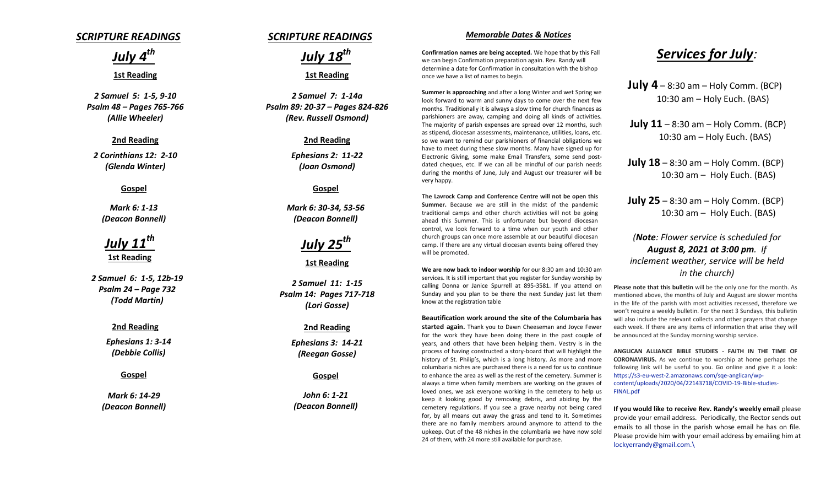## *SCRIPTURE READINGS*

*July 4th*

### **1st Reading**

*2 Samuel 5: 1-5, 9-10 Psalm 48 – Pages 765-766 (Allie Wheeler)*

#### **2nd Reading**

*2 Corinthians 12: 2-10 (Glenda Winter)*

### **Gospel**

*Mark 6: 1-13 (Deacon Bonnell)*

# *July 11th* **1st Reading**

*2 Samuel 6: 1-5, 12b-19 Psalm 24 – Page 732 (Todd Martin)*

### **2nd Reading**

*Ephesians 1: 3-14 (Debbie Collis)*

### **Gospel**

*Mark 6: 14-29 (Deacon Bonnell)*

## *SCRIPTURE READINGS*



**1st Reading**

*2 Samuel 7: 1-14a Psalm 89: 20-37 – Pages 824-826 (Rev. Russell Osmond)*

#### **2nd Reading**

*Ephesians 2: 11-22 (Joan Osmond)*

### **Gospel**

*Mark 6: 30-34, 53-56 (Deacon Bonnell)*

# *July 25th*

**1st Reading**

*2 Samuel 11: 1-15 Psalm 14: Pages 717-718 (Lori Gosse)*

### **2nd Reading**

*Ephesians 3: 14-21 (Reegan Gosse)*

#### **Gospel**

*John 6: 1-21 (Deacon Bonnell)*

### *Memorable Dates & Notices*

**Confirmation names are being accepted.** We hope that by this Fall we can begin Confirmation preparation again. Rev. Randy will determine a date for Confirmation in consultation with the bishop once we have a list of names to begin.

**Summer is approaching** and after a long Winter and wet Spring we look forward to warm and sunny days to come over the next few months. Traditionally it is always a slow time for church finances as parishioners are away, camping and doing all kinds of activities. The majority of parish expenses are spread over 12 months, such as stipend, diocesan assessments, maintenance, utilities, loans, etc. so we want to remind our parishioners of financial obligations we have to meet during these slow months. Many have signed up for Electronic Giving, some make Email Transfers, some send postdated cheques, etc. If we can all be mindful of our parish needs during the months of June, July and August our treasurer will be very happy.

**The Lavrock Camp and Conference Centre will not be open this Summer.** Because we are still in the midst of the pandemic traditional camps and other church activities will not be going ahead this Summer. This is unfortunate but beyond diocesan control, we look forward to a time when our youth and other church groups can once more assemble at our beautiful diocesan camp. If there are any virtual diocesan events being offered they will be promoted.

**We are now back to indoor worship** for our 8:30 am and 10:30 am services. It is still important that you register for Sunday worship by calling Donna or Janice Spurrell at 895-3581. If you attend on Sunday and you plan to be there the next Sunday just let them know at the registration table

#### **Beautification work around the site of the Columbaria has**

**started again.** Thank you to Dawn Cheeseman and Joyce Fewer for the work they have been doing there in the past couple of years, and others that have been helping them. Vestry is in the process of having constructed a story-board that will highlight the history of St. Philip's, which is a long history. As more and more columbaria niches are purchased there is a need for us to continue to enhance the area as well as the rest of the cemetery. Summer is always a time when family members are working on the graves of loved ones, we ask everyone working in the cemetery to help us keep it looking good by removing debris, and abiding by the cemetery regulations. If you see a grave nearby not being cared for, by all means cut away the grass and tend to it. Sometimes there are no family members around anymore to attend to the upkeep. Out of the 48 niches in the columbaria we have now sold 24 of them, with 24 more still available for purchase.

# *Services for July:*

**July 4** – 8:30 am – Holy Comm. (BCP) 10:30 am – Holy Euch. (BAS)

**July 11** – 8:30 am – Holy Comm. (BCP) 10:30 am – Holy Euch. (BAS)

**July 18** – 8:30 am – Holy Comm. (BCP) 10:30 am – Holy Euch. (BAS)

**July 25** – 8:30 am – Holy Comm. (BCP) 10:30 am – Holy Euch. (BAS)

## *(Note: Flower service is scheduled for August 8, 2021 at 3:00 pm. If inclement weather, service will be held in the church)*

**Please note that this bulletin** will be the only one for the month. As mentioned above, the months of July and August are slower months in the life of the parish with most activities recessed, therefore we won't require a weekly bulletin. For the next 3 Sundays, this bulletin will also include the relevant collects and other prayers that change each week. If there are any items of information that arise they will be announced at the Sunday morning worship service.

**ANGLICAN ALLIANCE BIBLE STUDIES - FAITH IN THE TIME OF CORONAVIRUS.** As we continue to worship at home perhaps the following link will be useful to you. Go online and give it a look: [https://s3-eu-west-2.amazonaws.com/sqe-anglican/wp](https://s3-eu-west-2.amazonaws.com/sqe-anglican/wp-content/uploads/2020/04/22143718/COVID-19-Bible-studies-FINAL.pdf)[content/uploads/2020/04/22143718/COVID-19-Bible-studies-](https://s3-eu-west-2.amazonaws.com/sqe-anglican/wp-content/uploads/2020/04/22143718/COVID-19-Bible-studies-FINAL.pdf)[FINAL.pdf](https://s3-eu-west-2.amazonaws.com/sqe-anglican/wp-content/uploads/2020/04/22143718/COVID-19-Bible-studies-FINAL.pdf)

**If you would like to receive Rev. Randy's weekly email** please provide your email address. Periodically, the Rector sends out emails to all those in the parish whose email he has on file. Please provide him with your email address by emailing him at [lockyerrandy@gmail.com.\](mailto:lockyerrandy@gmail.com./)